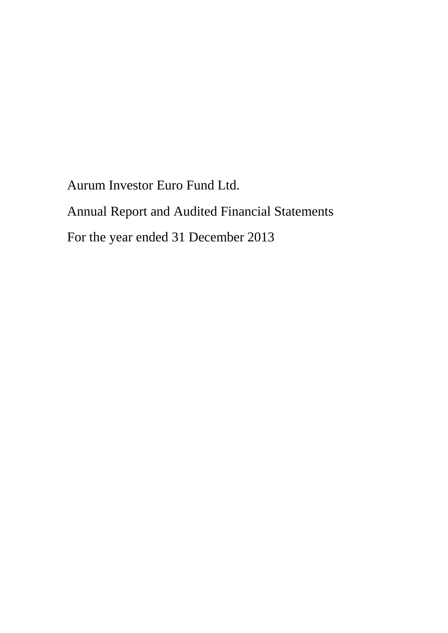Aurum Investor Euro Fund Ltd. Annual Report and Audited Financial Statements For the year ended 31 December 2013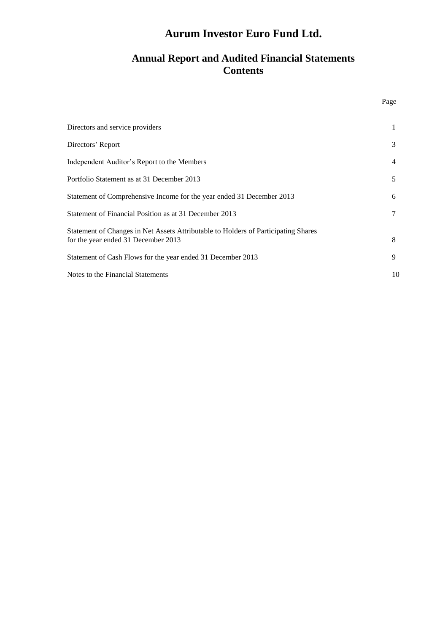# **Annual Report and Audited Financial Statements Contents**

| Directors and service providers                                                                                           | 1              |
|---------------------------------------------------------------------------------------------------------------------------|----------------|
| Directors' Report                                                                                                         | 3              |
| Independent Auditor's Report to the Members                                                                               | $\overline{4}$ |
| Portfolio Statement as at 31 December 2013                                                                                | 5              |
| Statement of Comprehensive Income for the year ended 31 December 2013                                                     | 6              |
| Statement of Financial Position as at 31 December 2013                                                                    | 7              |
| Statement of Changes in Net Assets Attributable to Holders of Participating Shares<br>for the year ended 31 December 2013 | 8              |
| Statement of Cash Flows for the year ended 31 December 2013                                                               | 9              |
| Notes to the Financial Statements                                                                                         | 10             |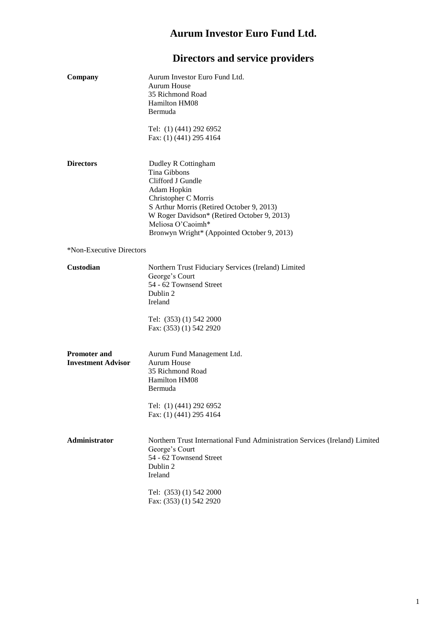# **Directors and service providers**

| Company                                          | Aurum Investor Euro Fund Ltd.<br>Aurum House<br>35 Richmond Road<br>Hamilton HM08<br>Bermuda<br>Tel: (1) (441) 292 6952<br>Fax: (1) (441) 295 4164                                                                                                              |
|--------------------------------------------------|-----------------------------------------------------------------------------------------------------------------------------------------------------------------------------------------------------------------------------------------------------------------|
| <b>Directors</b>                                 | Dudley R Cottingham<br>Tina Gibbons<br>Clifford J Gundle<br>Adam Hopkin<br>Christopher C Morris<br>S Arthur Morris (Retired October 9, 2013)<br>W Roger Davidson* (Retired October 9, 2013)<br>Meliosa O'Caoimh*<br>Bronwyn Wright* (Appointed October 9, 2013) |
| *Non-Executive Directors                         |                                                                                                                                                                                                                                                                 |
| <b>Custodian</b>                                 | Northern Trust Fiduciary Services (Ireland) Limited<br>George's Court<br>54 - 62 Townsend Street<br>Dublin 2<br>Ireland<br>Tel: (353) (1) 542 2000<br>Fax: (353) (1) 542 2920                                                                                   |
| <b>Promoter and</b><br><b>Investment Advisor</b> | Aurum Fund Management Ltd.<br><b>Aurum House</b><br>35 Richmond Road<br>Hamilton HM08<br>Bermuda<br>Tel: (1) (441) 292 6952<br>Fax: (1) (441) 295 4164                                                                                                          |
| <b>Administrator</b>                             | Northern Trust International Fund Administration Services (Ireland) Limited<br>George's Court<br>54 - 62 Townsend Street<br>Dublin 2<br>Ireland                                                                                                                 |
|                                                  | Tel: (353) (1) 542 2000<br>Fax: (353) (1) 542 2920                                                                                                                                                                                                              |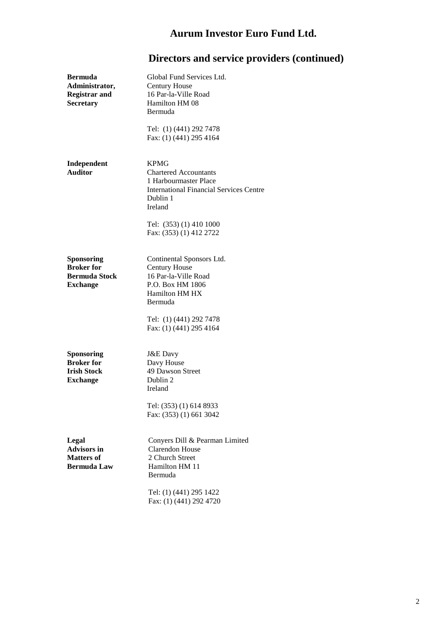| <b>Bermuda</b><br>Administrator,<br><b>Registrar and</b><br>Secretary           | Global Fund Services Ltd.<br><b>Century House</b><br>16 Par-la-Ville Road<br>Hamilton HM 08<br>Bermuda<br>Tel: (1) (441) 292 7478<br>Fax: (1) (441) 295 4164                                        |
|---------------------------------------------------------------------------------|-----------------------------------------------------------------------------------------------------------------------------------------------------------------------------------------------------|
| Independent<br><b>Auditor</b>                                                   | <b>KPMG</b><br><b>Chartered Accountants</b><br>1 Harbourmaster Place<br><b>International Financial Services Centre</b><br>Dublin 1<br>Ireland<br>Tel: (353) (1) 410 1000<br>Fax: (353) (1) 412 2722 |
| Sponsoring<br><b>Broker</b> for<br><b>Bermuda Stock</b><br><b>Exchange</b>      | Continental Sponsors Ltd.<br><b>Century House</b><br>16 Par-la-Ville Road<br>P.O. Box HM 1806<br><b>Hamilton HM HX</b><br><b>Bermuda</b>                                                            |
|                                                                                 | Tel: (1) (441) 292 7478<br>Fax: (1) (441) 295 4164                                                                                                                                                  |
| <b>Sponsoring</b><br><b>Broker</b> for<br><b>Irish Stock</b><br><b>Exchange</b> | <b>J&amp;E</b> Davy<br>Davy House<br>49 Dawson Street<br>Dublin 2<br>Ireland<br>Tel: (353) (1) 614 8933<br>Fax: (353) (1) 661 3042                                                                  |
| Legal<br><b>Advisors in</b><br><b>Matters of</b><br><b>Bermuda Law</b>          | Conyers Dill & Pearman Limited<br><b>Clarendon House</b><br>2 Church Street<br>Hamilton HM 11<br>Bermuda<br>Tel: (1) (441) 295 1422<br>Fax: (1) (441) 292 4720                                      |

# **Directors and service providers (continued)**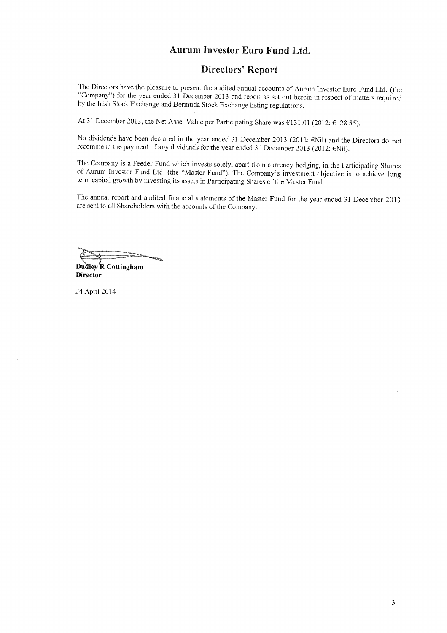### **Directors' Report**

The Directors have the pleasure to present the audited annual accounts of Aurum Investor Euro Fund Ltd. (the "Company") for the year ended 31 December 2013 and report as set out herein in respect of matters required by the Irish Stock Exchange and Bermuda Stock Exchange listing regulations.

At 31 December 2013, the Net Asset Value per Participating Share was €131.01 (2012: €128.55).

No dividends have been declared in the year ended 31 December 2013 (2012: €Nil) and the Directors do not recommend the payment of any dividends for the year ended 31 December 2013 (2012: ENil).

The Company is a Feeder Fund which invests solely, apart from currency hedging, in the Participating Shares of Aurum Investor Fund Ltd. (the "Master Fund"). The Company's investment objective is to achieve long term capital growth by investing its assets in Participating Shares of the Master Fund.

The annual report and audited financial statements of the Master Fund for the year ended 31 December 2013 are sent to all Shareholders with the accounts of the Company.

Dudley R Cottingham **Director** 

24 April 2014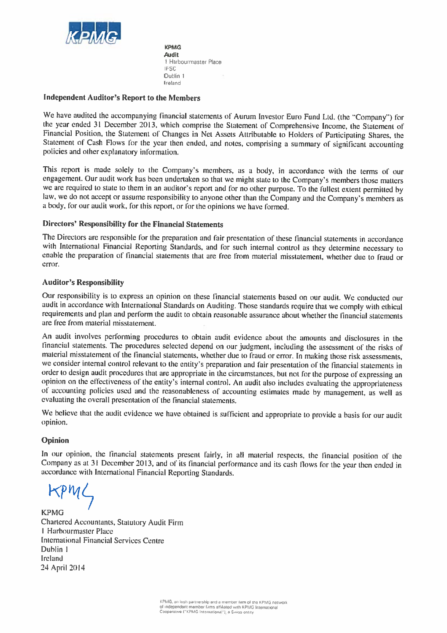

**KPMG Audit** 1 Harbourmaster Place **IFSC** Dublin 1 Ireland

#### **Independent Auditor's Report to the Members**

We have audited the accompanying financial statements of Aurum Investor Euro Fund Ltd. (the "Company") for the year ended 31 December 2013, which comprise the Statement of Comprehensive Income, the Statement of Financial Position, the Statement of Changes in Net Assets Attributable to Holders of Participating Shares, the Statement of Cash Flows for the year then ended, and notes, comprising a summary of significant accounting policies and other explanatory information.

This report is made solely to the Company's members, as a body, in accordance with the terms of our engagement. Our audit work has been undertaken so that we might state to the Company's members those matters we are required to state to them in an auditor's report and for no other purpose. To the fullest extent permitted by law, we do not accept or assume responsibility to anyone other than the Company and the Company's members as a body, for our audit work, for this report, or for the opinions we have formed.

### **Directors' Responsibility for the Financial Statements**

The Directors are responsible for the preparation and fair presentation of these financial statements in accordance with International Financial Reporting Standards, and for such internal control as they determine necessary to enable the preparation of financial statements that are free from material misstatement, whether due to fraud or error.

#### **Auditor's Responsibility**

Our responsibility is to express an opinion on these financial statements based on our audit. We conducted our audit in accordance with International Standards on Auditing. Those standards require that we comply with ethical requirements and plan and perform the audit to obtain reasonable assurance about whether the financial statements are free from material misstatement.

An audit involves performing procedures to obtain audit evidence about the amounts and disclosures in the financial statements. The procedures selected depend on our judgment, including the assessment of the risks of material misstatement of the financial statements, whether due to fraud or error. In making those risk assessments, we consider internal control relevant to the entity's preparation and fair presentation of the financial statements in order to design audit procedures that are appropriate in the circumstances, but not for the purpose of expressing an opinion on the effectiveness of the entity's internal control. An audit also includes evaluating the appropriateness of accounting policies used and the reasonableness of accounting estimates made by management, as well as evaluating the overall presentation of the financial statements.

We believe that the audit evidence we have obtained is sufficient and appropriate to provide a basis for our audit opinion.

#### Opinion

In our opinion, the financial statements present fairly, in all material respects, the financial position of the Company as at 31 December 2013, and of its financial performance and its cash flows for the year then ended in accordance with International Financial Reporting Standards.

**KPMG** Chartered Accountants, Statutory Audit Firm 1 Harbourmaster Place **International Financial Services Centre** Dublin 1 Ireland 24 April 2014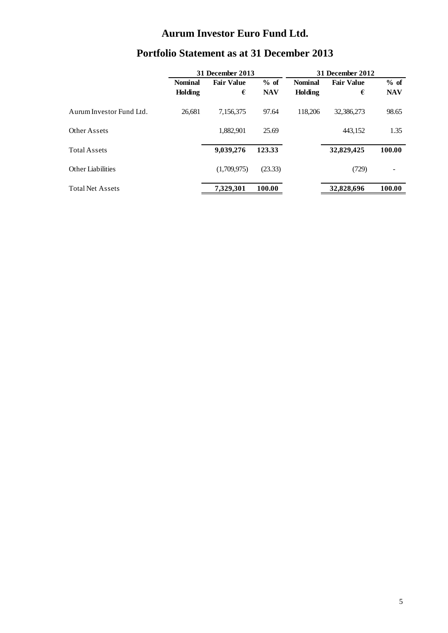| <b>Portfolio Statement as at 31 December 2013</b> |                  |                   |            |                |                         |            |  |
|---------------------------------------------------|------------------|-------------------|------------|----------------|-------------------------|------------|--|
|                                                   | 31 December 2013 |                   |            |                | <b>31 December 2012</b> |            |  |
|                                                   | <b>Nominal</b>   | <b>Fair Value</b> | $%$ of     | <b>Nominal</b> | <b>Fair Value</b>       | $%$ of     |  |
|                                                   | Holding          | €                 | <b>NAV</b> | Holding        | €                       | <b>NAV</b> |  |
| Aurum Investor Fund Ltd.                          | 26,681           | 7,156,375         | 97.64      | 118,206        | 32,386,273              | 98.65      |  |
| Other Assets                                      |                  | 1,882,901         | 25.69      |                | 443,152                 | 1.35       |  |
| <b>Total Assets</b>                               |                  | 9,039,276         | 123.33     |                | 32,829,425              | 100.00     |  |
| Other Liabilities                                 |                  | (1,709,975)       | (23.33)    |                | (729)                   |            |  |
| <b>Total Net Assets</b>                           |                  | 7,329,301         | 100.00     |                | 32,828,696              | 100.00     |  |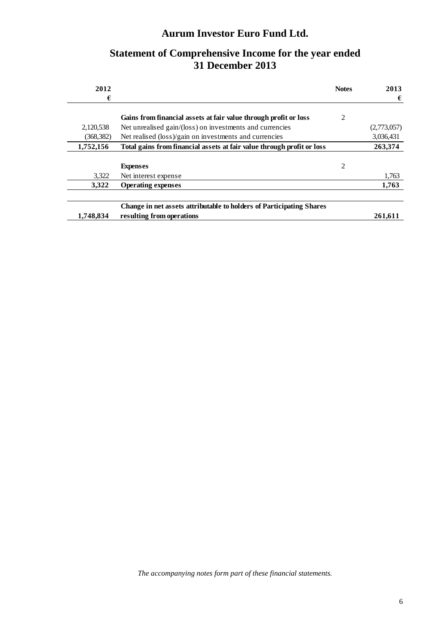# **Statement of Comprehensive Income for the year ended 31 December 2013**

| 2012       |                                                                        | <b>Notes</b> | 2013        |
|------------|------------------------------------------------------------------------|--------------|-------------|
| €          |                                                                        |              | €           |
|            | Gains from financial assets at fair value through profit or loss       | 2            |             |
| 2,120,538  | Net unrealised gain/(loss) on investments and currencies               |              | (2,773,057) |
| (368, 382) | Net realised (loss)/gain on investments and currencies                 |              | 3,036,431   |
| 1,752,156  | Total gains from financial assets at fair value through profit or loss |              | 263,374     |
|            |                                                                        |              |             |
|            | <b>Expenses</b>                                                        | 2            |             |
| 3.322      | Net interest expense                                                   |              | 1,763       |
| 3.322      | <b>Operating expenses</b>                                              |              | 1,763       |
|            |                                                                        |              |             |
|            | Change in net assets attributable to holders of Participating Shares   |              |             |
| 1,748,834  | resulting from operations                                              |              | 261.611     |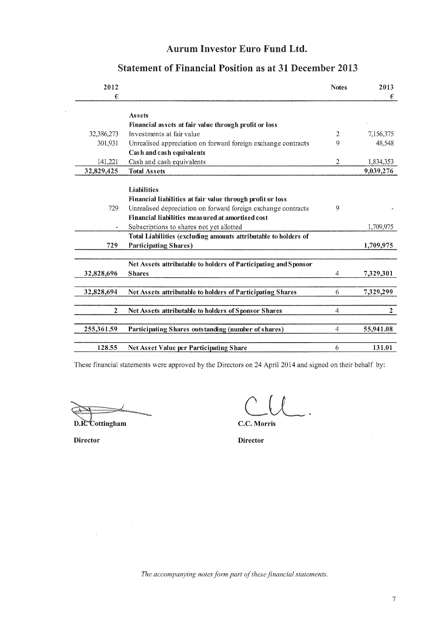| 2012       |                                                                 | <b>Notes</b>   | 2013           |
|------------|-----------------------------------------------------------------|----------------|----------------|
| €          |                                                                 |                | €              |
|            |                                                                 |                |                |
|            | Assets                                                          |                |                |
|            | Financial assets at fair value through profit or loss           |                |                |
| 32,386,273 | Investments at fair value                                       | 2              | 7,156,375      |
| 301,931    | Unrealised appreciation on forward foreign exchange contracts   | 9              | 48,548         |
|            | Cash and cash equivalents                                       |                |                |
| 141,221    | Cash and cash equivalents                                       | 2              | 1,834,353      |
| 32,829,425 | <b>Total Assets</b>                                             |                | 9,039,276      |
|            |                                                                 |                |                |
|            | Liabilities                                                     |                |                |
|            | Financial liabilities at fair value through profit or loss      |                |                |
| 729        | Unrealised depreciation on forward foreign exchange contracts   | 9              |                |
|            | Financial liabilities measured at amortised cost                |                |                |
|            | Subscriptions to shares not yet allotted                        |                | 1,709,975      |
|            | Total Liabilities (excluding amounts attributable to holders of |                |                |
| 729        | <b>Participating Shares)</b>                                    |                | 1,709,975      |
|            |                                                                 |                |                |
|            | Net Assets attributable to holders of Participating and Sponsor |                |                |
| 32,828,696 | <b>Shares</b>                                                   | $\overline{4}$ | 7,329,301      |
|            |                                                                 |                |                |
| 32,828,694 | Net Assets attributable to holders of Participating Shares      | 6              | 7,329,299      |
|            |                                                                 |                |                |
| 2          | Net Assets attributable to holders of Sponsor Shares            | $\overline{4}$ | $\overline{2}$ |
|            |                                                                 |                |                |
| 255,361.59 | Participating Shares outstanding (number of shares)             | $\overline{4}$ | 55,941.08      |
|            |                                                                 |                |                |
| 128.55     | Net Asset Value per Participating Share                         | 6              | 131.01         |
|            |                                                                 |                |                |

# **Statement of Financial Position as at 31 December 2013**

These financial statements were approved by the Directors on 24 April 2014 and signed on their behalf by:

D.R. Cottingham

 $\label{eq:1} \mathbf{v}_i = \mathbf{v}_i + \mathbf{v}_i$ 

 $\mathcal{L}^{\text{max}}$ 

C.C. Morris

**Director** 

**Director** 

 $\bar{\bar{z}}$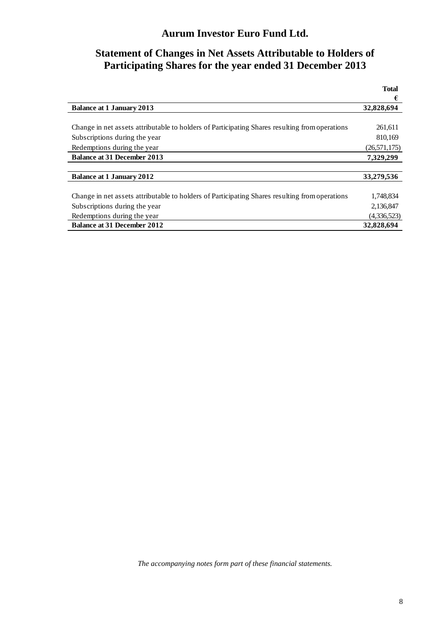# **Statement of Changes in Net Assets Attributable to Holders of Participating Shares for the year ended 31 December 2013**

|                                                                                                | <b>Total</b>   |
|------------------------------------------------------------------------------------------------|----------------|
|                                                                                                | €              |
| <b>Balance at 1 January 2013</b>                                                               | 32,828,694     |
|                                                                                                |                |
| Change in net assets attributable to holders of Participating Shares resulting from operations | 261,611        |
| Subscriptions during the year                                                                  | 810,169        |
| Redemptions during the year                                                                    | (26, 571, 175) |
| <b>Balance at 31 December 2013</b>                                                             | 7.329.299      |
|                                                                                                |                |
| <b>Balance at 1 January 2012</b>                                                               | 33,279,536     |
|                                                                                                |                |
| Change in net assets attributable to holders of Participating Shares resulting from operations | 1,748,834      |
| Subscriptions during the year                                                                  | 2,136,847      |
| Redemptions during the year                                                                    | (4,336,523)    |
| <b>Balance at 31 December 2012</b>                                                             | 32,828,694     |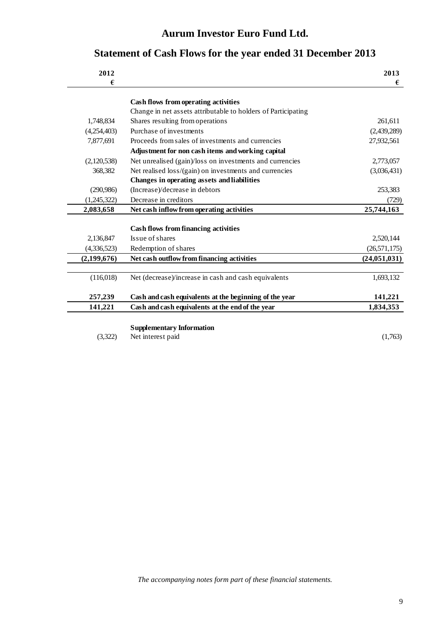# **Statement of Cash Flows for the year ended 31 December 2013**

|                                                          | 2013                                                                                                                                                                                                                                                                                                            |
|----------------------------------------------------------|-----------------------------------------------------------------------------------------------------------------------------------------------------------------------------------------------------------------------------------------------------------------------------------------------------------------|
|                                                          | €                                                                                                                                                                                                                                                                                                               |
|                                                          |                                                                                                                                                                                                                                                                                                                 |
|                                                          |                                                                                                                                                                                                                                                                                                                 |
| Shares resulting from operations                         | 261,611                                                                                                                                                                                                                                                                                                         |
| Purchase of investments                                  | (2,439,289)                                                                                                                                                                                                                                                                                                     |
| Proceeds from sales of investments and currencies        | 27,932,561                                                                                                                                                                                                                                                                                                      |
| Adjustment for non cash items and working capital        |                                                                                                                                                                                                                                                                                                                 |
| Net unrealised (gain)/loss on investments and currencies | 2,773,057                                                                                                                                                                                                                                                                                                       |
| Net realised loss/(gain) on investments and currencies   | (3,036,431)                                                                                                                                                                                                                                                                                                     |
| Changes in operating assets and liabilities              |                                                                                                                                                                                                                                                                                                                 |
| (Increase)/decrease in debtors                           | 253,383                                                                                                                                                                                                                                                                                                         |
| Decrease in creditors                                    | (729)                                                                                                                                                                                                                                                                                                           |
| Net cash inflow from operating activities                | 25,744,163                                                                                                                                                                                                                                                                                                      |
|                                                          |                                                                                                                                                                                                                                                                                                                 |
| <b>Cash flows from financing activities</b>              |                                                                                                                                                                                                                                                                                                                 |
| Issue of shares                                          | 2,520,144                                                                                                                                                                                                                                                                                                       |
| Redemption of shares                                     | (26, 571, 175)                                                                                                                                                                                                                                                                                                  |
| Net cash outflow from financing activities               | (24, 051, 031)                                                                                                                                                                                                                                                                                                  |
|                                                          |                                                                                                                                                                                                                                                                                                                 |
|                                                          | 1,693,132                                                                                                                                                                                                                                                                                                       |
|                                                          | 141,221                                                                                                                                                                                                                                                                                                         |
|                                                          | 1,834,353                                                                                                                                                                                                                                                                                                       |
|                                                          |                                                                                                                                                                                                                                                                                                                 |
|                                                          |                                                                                                                                                                                                                                                                                                                 |
| Net interest paid                                        | (1,763)                                                                                                                                                                                                                                                                                                         |
|                                                          | Cash flows from operating activities<br>Change in net assets attributable to holders of Participating<br>Net (decrease)/increase in cash and cash equivalents<br>Cash and cash equivalents at the beginning of the year<br>Cash and cash equivalents at the end of the year<br><b>Supplementary Information</b> |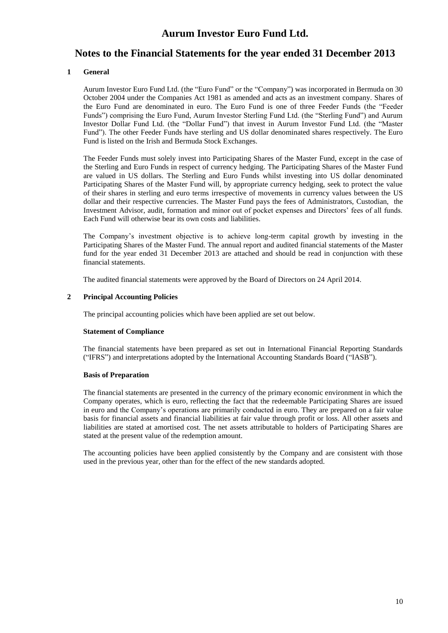### **Notes to the Financial Statements for the year ended 31 December 2013**

#### **1 General**

Aurum Investor Euro Fund Ltd. (the "Euro Fund" or the "Company") was incorporated in Bermuda on 30 October 2004 under the Companies Act 1981 as amended and acts as an investment company. Shares of the Euro Fund are denominated in euro. The Euro Fund is one of three Feeder Funds (the "Feeder Funds") comprising the Euro Fund, Aurum Investor Sterling Fund Ltd. (the "Sterling Fund") and Aurum Investor Dollar Fund Ltd. (the "Dollar Fund") that invest in Aurum Investor Fund Ltd. (the "Master Fund"). The other Feeder Funds have sterling and US dollar denominated shares respectively. The Euro Fund is listed on the Irish and Bermuda Stock Exchanges.

The Feeder Funds must solely invest into Participating Shares of the Master Fund, except in the case of the Sterling and Euro Funds in respect of currency hedging. The Participating Shares of the Master Fund are valued in US dollars. The Sterling and Euro Funds whilst investing into US dollar denominated Participating Shares of the Master Fund will, by appropriate currency hedging, seek to protect the value of their shares in sterling and euro terms irrespective of movements in currency values between the US dollar and their respective currencies. The Master Fund pays the fees of Administrators, Custodian, the Investment Advisor, audit, formation and minor out of pocket expenses and Directors' fees of all funds. Each Fund will otherwise bear its own costs and liabilities.

The Company's investment objective is to achieve long-term capital growth by investing in the Participating Shares of the Master Fund. The annual report and audited financial statements of the Master fund for the year ended 31 December 2013 are attached and should be read in conjunction with these financial statements.

The audited financial statements were approved by the Board of Directors on 24 April 2014.

#### **2 Principal Accounting Policies**

The principal accounting policies which have been applied are set out below.

#### **Statement of Compliance**

The financial statements have been prepared as set out in International Financial Reporting Standards ("IFRS") and interpretations adopted by the International Accounting Standards Board ("IASB").

#### **Basis of Preparation**

The financial statements are presented in the currency of the primary economic environment in which the Company operates, which is euro, reflecting the fact that the redeemable Participating Shares are issued in euro and the Company's operations are primarily conducted in euro. They are prepared on a fair value basis for financial assets and financial liabilities at fair value through profit or loss. All other assets and liabilities are stated at amortised cost. The net assets attributable to holders of Participating Shares are stated at the present value of the redemption amount.

The accounting policies have been applied consistently by the Company and are consistent with those used in the previous year, other than for the effect of the new standards adopted.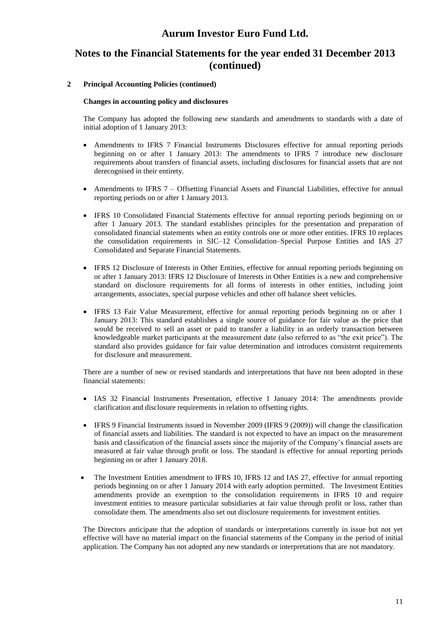# **Notes to the Financial Statements for the year ended 31 December 2013 (continued)**

#### **2 Principal Accounting Policies (continued)**

#### **Changes in accounting policy and disclosures**

The Company has adopted the following new standards and amendments to standards with a date of initial adoption of 1 January 2013:

- Amendments to IFRS 7 Financial Instruments Disclosures effective for annual reporting periods beginning on or after 1 January 2013: The amendments to IFRS 7 introduce new disclosure requirements about transfers of financial assets, including disclosures for financial assets that are not derecognised in their entirety.
- Amendments to IFRS 7 Offsetting Financial Assets and Financial Liabilities, effective for annual reporting periods on or after 1 January 2013.
- IFRS 10 Consolidated Financial Statements effective for annual reporting periods beginning on or after 1 January 2013. The standard establishes principles for the presentation and preparation of consolidated financial statements when an entity controls one or more other entities. IFRS 10 replaces the consolidation requirements in SIC–12 Consolidation–Special Purpose Entities and IAS 27 Consolidated and Separate Financial Statements.
- IFRS 12 Disclosure of Interests in Other Entities, effective for annual reporting periods beginning on or after 1 January 2013: IFRS 12 Disclosure of Interests in Other Entities is a new and comprehensive standard on disclosure requirements for all forms of interests in other entities, including joint arrangements, associates, special purpose vehicles and other off balance sheet vehicles.
- IFRS 13 Fair Value Measurement, effective for annual reporting periods beginning on or after 1 January 2013: This standard establishes a single source of guidance for fair value as the price that would be received to sell an asset or paid to transfer a liability in an orderly transaction between knowledgeable market participants at the measurement date (also referred to as "the exit price"). The standard also provides guidance for fair value determination and introduces consistent requirements for disclosure and measurement.

There are a number of new or revised standards and interpretations that have not been adopted in these financial statements:

- IAS 32 Financial Instruments Presentation, effective 1 January 2014: The amendments provide clarification and disclosure requirements in relation to offsetting rights.
- IFRS 9 Financial Instruments issued in November 2009 (IFRS 9 (2009)) will change the classification of financial assets and liabilities. The standard is not expected to have an impact on the measurement basis and classification of the financial assets since the majority of the Company's financial assets are measured at fair value through profit or loss. The standard is effective for annual reporting periods beginning on or after 1 January 2018.
- The Investment Entities amendment to IFRS 10, IFRS 12 and IAS 27, effective for annual reporting periods beginning on or after 1 January 2014 with early adoption permitted. The Investment Entities amendments provide an exemption to the consolidation requirements in IFRS 10 and require investment entities to measure particular subsidiaries at fair value through profit or loss, rather than consolidate them. The amendments also set out disclosure requirements for investment entities.

The Directors anticipate that the adoption of standards or interpretations currently in issue but not yet effective will have no material impact on the financial statements of the Company in the period of initial application. The Company has not adopted any new standards or interpretations that are not mandatory.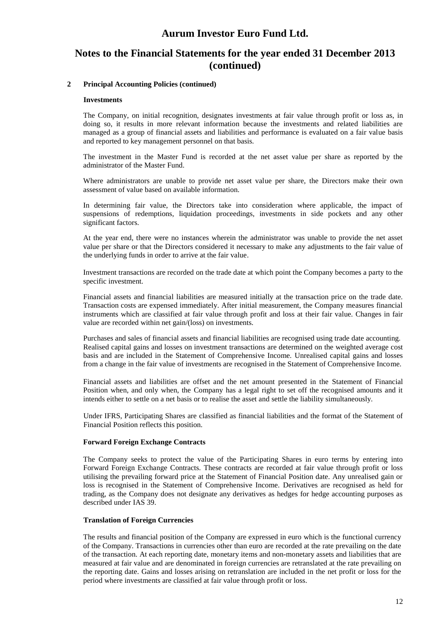# **Notes to the Financial Statements for the year ended 31 December 2013 (continued)**

#### **2 Principal Accounting Policies (continued)**

#### **Investments**

The Company, on initial recognition, designates investments at fair value through profit or loss as, in doing so, it results in more relevant information because the investments and related liabilities are managed as a group of financial assets and liabilities and performance is evaluated on a fair value basis and reported to key management personnel on that basis.

The investment in the Master Fund is recorded at the net asset value per share as reported by the administrator of the Master Fund.

Where administrators are unable to provide net asset value per share, the Directors make their own assessment of value based on available information.

In determining fair value, the Directors take into consideration where applicable, the impact of suspensions of redemptions, liquidation proceedings, investments in side pockets and any other significant factors.

At the year end, there were no instances wherein the administrator was unable to provide the net asset value per share or that the Directors considered it necessary to make any adjustments to the fair value of the underlying funds in order to arrive at the fair value.

Investment transactions are recorded on the trade date at which point the Company becomes a party to the specific investment.

Financial assets and financial liabilities are measured initially at the transaction price on the trade date. Transaction costs are expensed immediately. After initial measurement, the Company measures financial instruments which are classified at fair value through profit and loss at their fair value. Changes in fair value are recorded within net gain/(loss) on investments.

Purchases and sales of financial assets and financial liabilities are recognised using trade date accounting. Realised capital gains and losses on investment transactions are determined on the weighted average cost basis and are included in the Statement of Comprehensive Income. Unrealised capital gains and losses from a change in the fair value of investments are recognised in the Statement of Comprehensive Income.

Financial assets and liabilities are offset and the net amount presented in the Statement of Financial Position when, and only when, the Company has a legal right to set off the recognised amounts and it intends either to settle on a net basis or to realise the asset and settle the liability simultaneously.

Under IFRS, Participating Shares are classified as financial liabilities and the format of the Statement of Financial Position reflects this position.

#### **Forward Foreign Exchange Contracts**

The Company seeks to protect the value of the Participating Shares in euro terms by entering into Forward Foreign Exchange Contracts. These contracts are recorded at fair value through profit or loss utilising the prevailing forward price at the Statement of Financial Position date. Any unrealised gain or loss is recognised in the Statement of Comprehensive Income. Derivatives are recognised as held for trading, as the Company does not designate any derivatives as hedges for hedge accounting purposes as described under IAS 39.

#### **Translation of Foreign Currencies**

The results and financial position of the Company are expressed in euro which is the functional currency of the Company. Transactions in currencies other than euro are recorded at the rate prevailing on the date of the transaction. At each reporting date, monetary items and non-monetary assets and liabilities that are measured at fair value and are denominated in foreign currencies are retranslated at the rate prevailing on the reporting date. Gains and losses arising on retranslation are included in the net profit or loss for the period where investments are classified at fair value through profit or loss.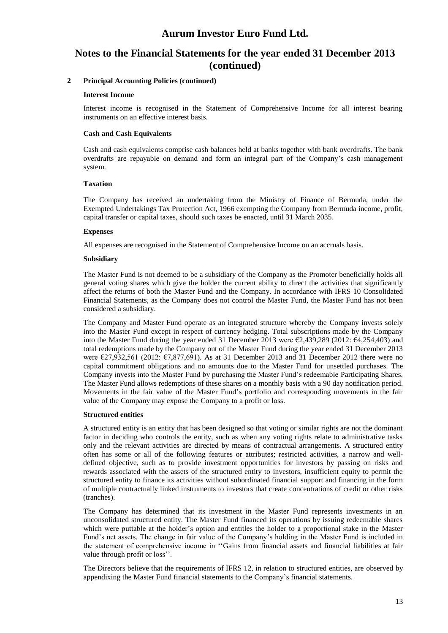# **Notes to the Financial Statements for the year ended 31 December 2013 (continued)**

#### **2 Principal Accounting Policies (continued)**

#### **Interest Income**

Interest income is recognised in the Statement of Comprehensive Income for all interest bearing instruments on an effective interest basis.

#### **Cash and Cash Equivalents**

Cash and cash equivalents comprise cash balances held at banks together with bank overdrafts. The bank overdrafts are repayable on demand and form an integral part of the Company's cash management system.

#### **Taxation**

The Company has received an undertaking from the Ministry of Finance of Bermuda, under the Exempted Undertakings Tax Protection Act, 1966 exempting the Company from Bermuda income, profit, capital transfer or capital taxes, should such taxes be enacted, until 31 March 2035.

#### **Expenses**

All expenses are recognised in the Statement of Comprehensive Income on an accruals basis.

#### **Subsidiary**

The Master Fund is not deemed to be a subsidiary of the Company as the Promoter beneficially holds all general voting shares which give the holder the current ability to direct the activities that significantly affect the returns of both the Master Fund and the Company. In accordance with IFRS 10 Consolidated Financial Statements, as the Company does not control the Master Fund, the Master Fund has not been considered a subsidiary.

The Company and Master Fund operate as an integrated structure whereby the Company invests solely into the Master Fund except in respect of currency hedging. Total subscriptions made by the Company into the Master Fund during the year ended 31 December 2013 were €2,439,289 (2012: €4,254,403) and total redemptions made by the Company out of the Master Fund during the year ended 31 December 2013 were €27,932,561 (2012: €7,877,691). As at 31 December 2013 and 31 December 2012 there were no capital commitment obligations and no amounts due to the Master Fund for unsettled purchases. The Company invests into the Master Fund by purchasing the Master Fund's redeemable Participating Shares. The Master Fund allows redemptions of these shares on a monthly basis with a 90 day notification period. Movements in the fair value of the Master Fund's portfolio and corresponding movements in the fair value of the Company may expose the Company to a profit or loss.

#### **Structured entities**

A structured entity is an entity that has been designed so that voting or similar rights are not the dominant factor in deciding who controls the entity, such as when any voting rights relate to administrative tasks only and the relevant activities are directed by means of contractual arrangements. A structured entity often has some or all of the following features or attributes; restricted activities, a narrow and welldefined objective, such as to provide investment opportunities for investors by passing on risks and rewards associated with the assets of the structured entity to investors, insufficient equity to permit the structured entity to finance its activities without subordinated financial support and financing in the form of multiple contractually linked instruments to investors that create concentrations of credit or other risks (tranches).

The Company has determined that its investment in the Master Fund represents investments in an unconsolidated structured entity. The Master Fund financed its operations by issuing redeemable shares which were puttable at the holder's option and entitles the holder to a proportional stake in the Master Fund's net assets. The change in fair value of the Company's holding in the Master Fund is included in the statement of comprehensive income in ''Gains from financial assets and financial liabilities at fair value through profit or loss''.

The Directors believe that the requirements of IFRS 12, in relation to structured entities, are observed by appendixing the Master Fund financial statements to the Company's financial statements.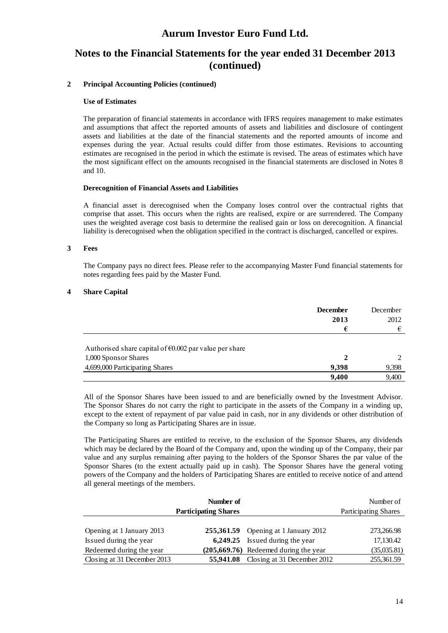# **Notes to the Financial Statements for the year ended 31 December 2013 (continued)**

#### **2 Principal Accounting Policies (continued)**

#### **Use of Estimates**

The preparation of financial statements in accordance with IFRS requires management to make estimates and assumptions that affect the reported amounts of assets and liabilities and disclosure of contingent assets and liabilities at the date of the financial statements and the reported amounts of income and expenses during the year. Actual results could differ from those estimates. Revisions to accounting estimates are recognised in the period in which the estimate is revised. The areas of estimates which have the most significant effect on the amounts recognised in the financial statements are disclosed in Notes 8 and 10.

#### **Derecognition of Financial Assets and Liabilities**

A financial asset is derecognised when the Company loses control over the contractual rights that comprise that asset. This occurs when the rights are realised, expire or are surrendered. The Company uses the weighted average cost basis to determine the realised gain or loss on derecognition. A financial liability is derecognised when the obligation specified in the contract is discharged, cancelled or expires.

#### **3 Fees**

The Company pays no direct fees. Please refer to the accompanying Master Fund financial statements for notes regarding fees paid by the Master Fund.

#### **4 Share Capital**

|                                                                                          | <b>December</b><br>2013 | December<br>2012 |
|------------------------------------------------------------------------------------------|-------------------------|------------------|
|                                                                                          | €                       | €                |
| Authorised share capital of $\epsilon$ 0.002 par value per share<br>1,000 Sponsor Shares |                         |                  |
| 4,699,000 Participating Shares                                                           | 9,398                   | 9,398            |
|                                                                                          | 9,400                   | 9,400            |

All of the Sponsor Shares have been issued to and are beneficially owned by the Investment Advisor. The Sponsor Shares do not carry the right to participate in the assets of the Company in a winding up, except to the extent of repayment of par value paid in cash, nor in any dividends or other distribution of the Company so long as Participating Shares are in issue.

The Participating Shares are entitled to receive, to the exclusion of the Sponsor Shares, any dividends which may be declared by the Board of the Company and, upon the winding up of the Company, their par value and any surplus remaining after paying to the holders of the Sponsor Shares the par value of the Sponsor Shares (to the extent actually paid up in cash). The Sponsor Shares have the general voting powers of the Company and the holders of Participating Shares are entitled to receive notice of and attend all general meetings of the members.

|                             | Number of<br><b>Participating Shares</b> |                                         | Number of<br>Participating Shares |
|-----------------------------|------------------------------------------|-----------------------------------------|-----------------------------------|
|                             |                                          |                                         |                                   |
| Opening at 1 January 2013   |                                          | 255,361.59 Opening at 1 January 2012    | 273,266.98                        |
| Issued during the year      |                                          | 6,249.25 Issued during the year         | 17,130.42                         |
| Redeemed during the year    |                                          | $(205,669.76)$ Redeemed during the year | (35,035.81)                       |
| Closing at 31 December 2013 | 55,941.08                                | Closing at 31 December 2012             | 255,361.59                        |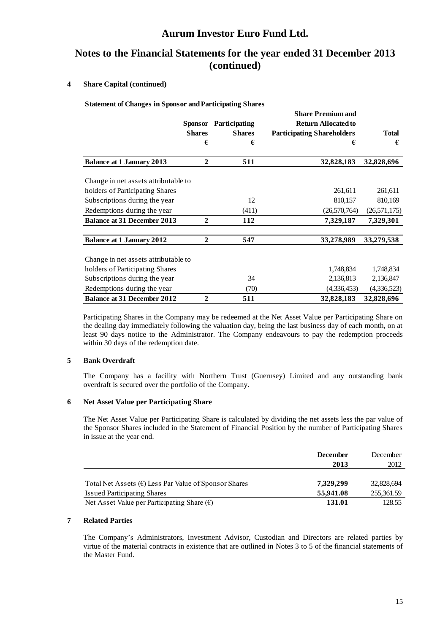# **Notes to the Financial Statements for the year ended 31 December 2013 (continued)**

#### **4 Share Capital (continued)**

**Statement of Changes in Sponsor and Participating Shares**

|                                      |                |               | <b>Share Premium and</b>          |                |
|--------------------------------------|----------------|---------------|-----------------------------------|----------------|
|                                      | <b>Sponsor</b> | Participating | <b>Return Allocated to</b>        |                |
|                                      | <b>Shares</b>  | <b>Shares</b> | <b>Participating Shareholders</b> | <b>Total</b>   |
|                                      | €              | €             | €                                 | €              |
| <b>Balance at 1 January 2013</b>     | $\mathbf{2}$   | 511           | 32,828,183                        | 32,828,696     |
| Change in net assets attributable to |                |               |                                   |                |
| holders of Participating Shares      |                |               | 261,611                           | 261,611        |
| Subscriptions during the year        |                | 12            | 810,157                           | 810,169        |
| Redemptions during the year          |                | (411)         | (26,570,764)                      | (26, 571, 175) |
| <b>Balance at 31 December 2013</b>   | $\mathbf{2}$   | 112           | 7,329,187                         | 7,329,301      |
| <b>Balance at 1 January 2012</b>     | $\mathbf{2}$   | 547           | 33,278,989                        | 33,279,538     |
| Change in net assets attributable to |                |               |                                   |                |
| holders of Participating Shares      |                |               | 1,748,834                         | 1,748,834      |
| Subscriptions during the year        |                | 34            | 2,136,813                         | 2,136,847      |
| Redemptions during the year          |                | (70)          | (4,336,453)                       | (4,336,523)    |
| <b>Balance at 31 December 2012</b>   | $\overline{2}$ | 511           | 32,828,183                        | 32,828,696     |

Participating Shares in the Company may be redeemed at the Net Asset Value per Participating Share on the dealing day immediately following the valuation day, being the last business day of each month, on at least 90 days notice to the Administrator. The Company endeavours to pay the redemption proceeds within 30 days of the redemption date.

#### **5 Bank Overdraft**

The Company has a facility with Northern Trust (Guernsey) Limited and any outstanding bank overdraft is secured over the portfolio of the Company.

#### **6 Net Asset Value per Participating Share**

The Net Asset Value per Participating Share is calculated by dividing the net assets less the par value of the Sponsor Shares included in the Statement of Financial Position by the number of Participating Shares in issue at the year end.

|                                                         | <b>December</b> | December   |
|---------------------------------------------------------|-----------------|------------|
|                                                         | 2013            | 2012       |
|                                                         |                 |            |
| Total Net Assets $(E)$ Less Par Value of Sponsor Shares | 7,329,299       | 32,828,694 |
| <b>Issued Participating Shares</b>                      | 55,941.08       | 255,361.59 |
| Net Asset Value per Participating Share $(\epsilon)$    | 131.01          | 128.55     |

#### **7 Related Parties**

The Company's Administrators, Investment Advisor, Custodian and Directors are related parties by virtue of the material contracts in existence that are outlined in Notes 3 to 5 of the financial statements of the Master Fund.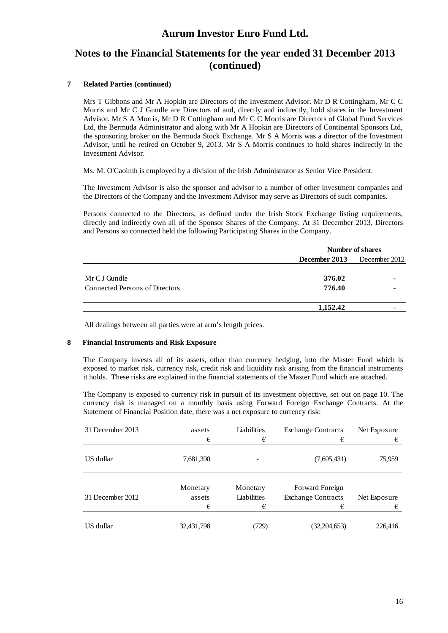# **Notes to the Financial Statements for the year ended 31 December 2013 (continued)**

#### **7 Related Parties (continued)**

Mrs T Gibbons and Mr A Hopkin are Directors of the Investment Advisor. Mr D R Cottingham, Mr C C Morris and Mr C J Gundle are Directors of and, directly and indirectly, hold shares in the Investment Advisor. Mr S A Morris, Mr D R Cottingham and Mr C C Morris are Directors of Global Fund Services Ltd, the Bermuda Administrator and along with Mr A Hopkin are Directors of Continental Sponsors Ltd, the sponsoring broker on the Bermuda Stock Exchange. Mr S A Morris was a director of the Investment Advisor, until he retired on October 9, 2013. Mr S A Morris continues to hold shares indirectly in the Investment Advisor.

Ms. M. O'Caoimh is employed by a division of the Irish Administrator as Senior Vice President.

The Investment Advisor is also the sponsor and advisor to a number of other investment companies and the Directors of the Company and the Investment Advisor may serve as Directors of such companies.

Persons connected to the Directors, as defined under the Irish Stock Exchange listing requirements, directly and indirectly own all of the Sponsor Shares of the Company. At 31 December 2013, Directors and Persons so connected held the following Participating Shares in the Company.

|                                | Number of shares                   |  |  |
|--------------------------------|------------------------------------|--|--|
|                                | <b>December 2013</b> December 2012 |  |  |
| Mr C J Gundle                  | 376.02                             |  |  |
| Connected Persons of Directors | 776.40                             |  |  |
|                                | 1,152.42                           |  |  |

All dealings between all parties were at arm's length prices.

#### **8 Financial Instruments and Risk Exposure**

The Company invests all of its assets, other than currency hedging, into the Master Fund which is exposed to market risk, currency risk, credit risk and liquidity risk arising from the financial instruments it holds. These risks are explained in the financial statements of the Master Fund which are attached.

The Company is exposed to currency risk in pursuit of its investment objective, set out on page 10. The currency risk is managed on a monthly basis using Forward Foreign Exchange Contracts. At the Statement of Financial Position date, there was a net exposure to currency risk:

| 31 December 2013 | assets<br>€             | Liabilities<br>€             | <b>Exchange Contracts</b><br>€                    | Net Exposure<br>€ |
|------------------|-------------------------|------------------------------|---------------------------------------------------|-------------------|
| US dollar        | 7,681,390               |                              | (7,605,431)                                       | 75,959            |
| 31 December 2012 | Monetary<br>assets<br>€ | Monetary<br>Liabilities<br>€ | Forward Foreign<br><b>Exchange Contracts</b><br>€ | Net Exposure<br>€ |
| US dollar        | 32,431,798              | (729)                        | (32, 204, 653)                                    | 226,416           |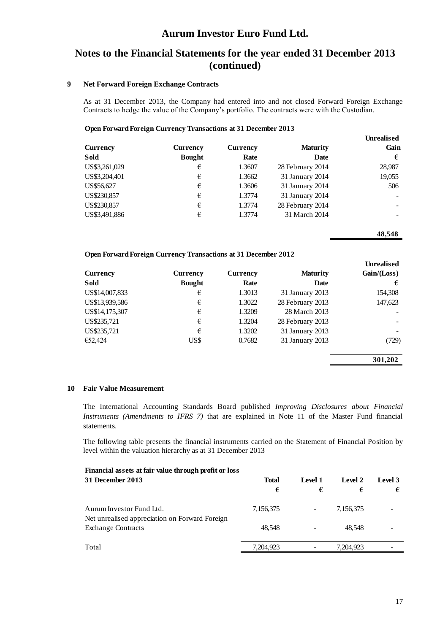# **Notes to the Financial Statements for the year ended 31 December 2013 (continued)**

#### **9 Net Forward Foreign Exchange Contracts**

As at 31 December 2013, the Company had entered into and not closed Forward Foreign Exchange Contracts to hedge the value of the Company's portfolio. The contracts were with the Custodian.

#### **Open Forward Foreign Currency Transactions at 31 December 2013**

|               |                 |                 |                  | <b>Unrealised</b> |
|---------------|-----------------|-----------------|------------------|-------------------|
| Currency      | <b>Currency</b> | <b>Currency</b> | <b>Maturity</b>  | Gain              |
| Sold          | <b>Bought</b>   | Rate            | Date             | €                 |
| US\$3,261,029 | €               | 1.3607          | 28 February 2014 | 28,987            |
| US\$3,204,401 | €               | 1.3662          | 31 January 2014  | 19,055            |
| US\$56,627    | €               | 1.3606          | 31 January 2014  | 506               |
| US\$230,857   | €               | 1.3774          | 31 January 2014  |                   |
| US\$230,857   | €               | 1.3774          | 28 February 2014 |                   |
| US\$3,491,886 | €               | 1.3774          | 31 March 2014    |                   |

#### **48,548**

**Unrealised**

#### **Open Forward Foreign Currency Transactions at 31 December 2012**

|                |                 |          |                  | UM Canstu     |
|----------------|-----------------|----------|------------------|---------------|
| Currency       | <b>Currency</b> | Currency | <b>Maturity</b>  | Gain / (Loss) |
| Sold           | <b>Bought</b>   | Rate     | Date             | €             |
| US\$14,007,833 | €               | 1.3013   | 31 January 2013  | 154,308       |
| US\$13,939,586 | €               | 1.3022   | 28 February 2013 | 147,623       |
| US\$14,175,307 | €               | 1.3209   | 28 March 2013    |               |
| US\$235,721    | €               | 1.3204   | 28 February 2013 |               |
| US\$235,721    | €               | 1.3202   | 31 January 2013  |               |
| €52,424        | US\$            | 0.7682   | 31 January 2013  | (729)         |
|                |                 |          |                  | 301.202       |

#### **10 Fair Value Measurement**

The International Accounting Standards Board published *Improving Disclosures about Financial Instruments (Amendments to IFRS 7)* that are explained in Note 11 of the Master Fund financial statements.

The following table presents the financial instruments carried on the Statement of Financial Position by level within the valuation hierarchy as at 31 December 2013

| Financial assets at fair value through profit or loss                       |              |         |           |         |
|-----------------------------------------------------------------------------|--------------|---------|-----------|---------|
| 31 December 2013                                                            | <b>Total</b> | Level 1 | Level 2   | Level 3 |
|                                                                             | €            | €       | €         | €       |
| Aurum Investor Fund Ltd.                                                    | 7,156,375    |         | 7,156,375 |         |
| Net unrealised appreciation on Forward Foreign<br><b>Exchange Contracts</b> | 48.548       |         | 48.548    |         |
| Total                                                                       | 7,204,923    |         | 7,204,923 |         |
|                                                                             |              |         |           |         |